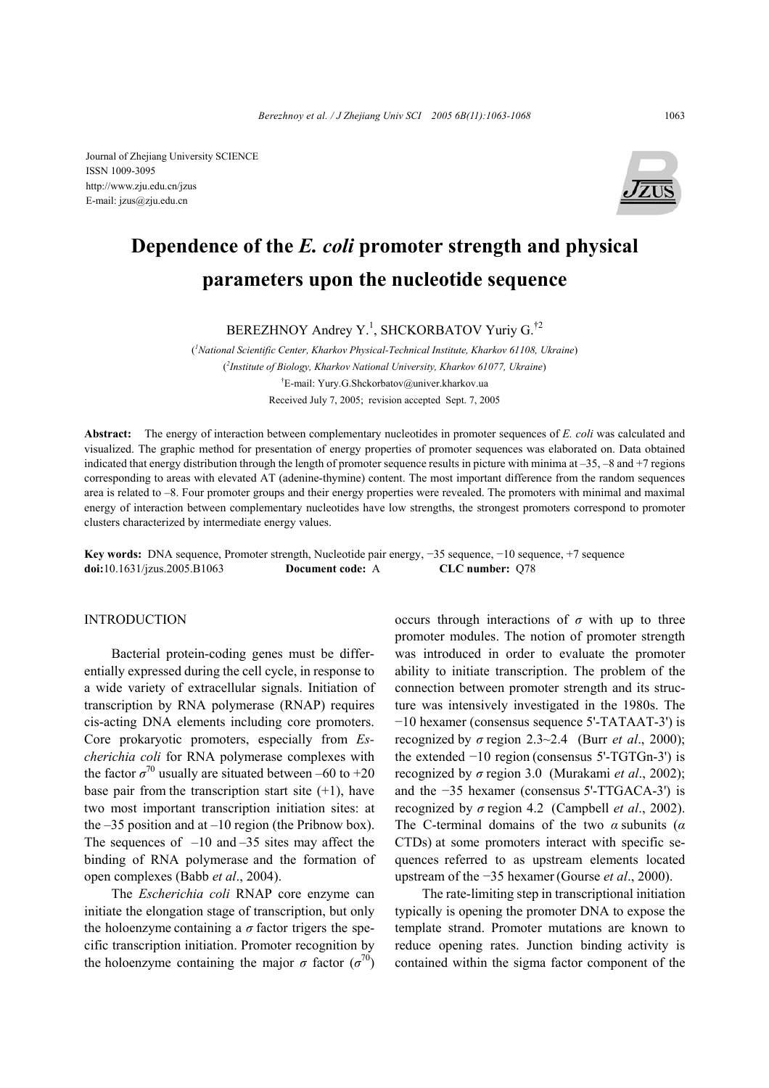

# **Dependence of the** *E. coli* **promoter strength and physical parameters upon the nucleotide sequence**

BEREZHNOY Andrey Y.<sup>1</sup>, SHCKORBATOV Yuriy G.<sup>†2</sup>

( *1 National Scientific Center, Kharkov Physical-Technical Institute, Kharkov 61108, Ukraine*) ( *2 Institute of Biology, Kharkov National University, Kharkov 61077, Ukraine*) † E-mail: Yury.G.Shckorbatov@univer.kharkov.ua Received July 7, 2005; revision accepted Sept. 7, 2005

**Abstract:** The energy of interaction between complementary nucleotides in promoter sequences of *E. coli* was calculated and visualized. The graphic method for presentation of energy properties of promoter sequences was elaborated on. Data obtained indicated that energy distribution through the length of promoter sequence results in picture with minima at  $-35$ ,  $-8$  and  $+7$  regions corresponding to areas with elevated AT (adenine-thymine) content. The most important difference from the random sequences area is related to –8. Four promoter groups and their energy properties were revealed. The promoters with minimal and maximal energy of interaction between complementary nucleotides have low strengths, the strongest promoters correspond to promoter clusters characterized by intermediate energy values.

**Key words:** DNA sequence, Promoter strength, Nucleotide pair energy, −35 sequence, −10 sequence, +7 sequence **doi:**10.1631/jzus.2005.B1063 **Document code:** A **CLC number:** Q78

## INTRODUCTION

Bacterial protein-coding genes must be differentially expressed during the cell cycle, in response to a wide variety of extracellular signals. Initiation of transcription by RNA polymerase (RNAP) requires cis-acting DNA elements including core promoters. Core prokaryotic promoters, especially from *Escherichia coli* for RNA polymerase complexes with the factor  $\sigma^{70}$  usually are situated between –60 to +20 base pair from the transcription start site  $(+1)$ , have two most important transcription initiation sites: at the  $-35$  position and at  $-10$  region (the Pribnow box). The sequences of  $-10$  and  $-35$  sites may affect the binding of RNA polymerase and the formation of open complexes (Babb *et al*., 2004).

The *Escherichia coli* RNAP core enzyme can initiate the elongation stage of transcription, but only the holoenzyme containing a  $\sigma$  factor trigers the specific transcription initiation. Promoter recognition by the holoenzyme containing the major  $\sigma$  factor  $(\sigma^{70})$  occurs through interactions of  $\sigma$  with up to three promoter modules. The notion of promoter strength was introduced in order to evaluate the promoter ability to initiate transcription. The problem of the connection between promoter strength and its structure was intensively investigated in the 1980s. The −10 hexamer (consensus sequence 5'-TATAAT-3') is recognized by  $\sigma$  region 2.3~2.4 (Burr *et al.*, 2000); the extended −10 region (consensus 5'-TGTGn-3') is recognized by *σ* region 3.0 (Murakami *et al*., 2002); and the −35 hexamer (consensus 5'-TTGACA-3') is recognized by *σ* region 4.2 (Campbell *et al*., 2002). The C-terminal domains of the two *α* subunits (*α* CTDs) at some promoters interact with specific sequences referred to as upstream elements located upstream of the −35 hexamer(Gourse *et al*., 2000).

The rate-limiting step in transcriptional initiation typically is opening the promoter DNA to expose the template strand. Promoter mutations are known to reduce opening rates. Junction binding activity is contained within the sigma factor component of the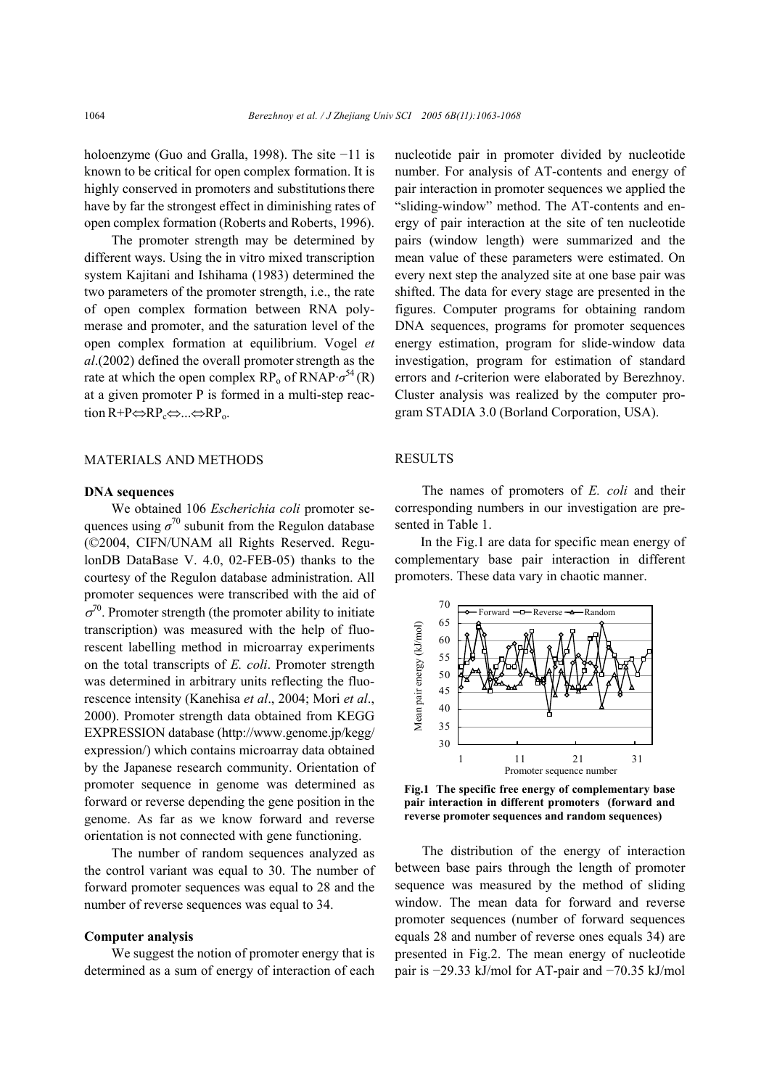holoenzyme (Guo and Gralla, 1998). The site −11 is known to be critical for open complex formation. It is highly conserved in promoters and substitutions there have by far the strongest effect in diminishing rates of open complex formation (Roberts and Roberts, 1996).

The promoter strength may be determined by different ways. Using the in vitro mixed transcription system Kajitani and Ishihama (1983) determined the two parameters of the promoter strength, i.e., the rate of open complex formation between RNA polymerase and promoter, and the saturation level of the open complex formation at equilibrium. Vogel *et al*.(2002) defined the overall promoter strength as the rate at which the open complex  $RP_0$  of  $RNAP \cdot \sigma^{54}(R)$ at a given promoter P is formed in a multi-step reaction  $R+P \Leftrightarrow R\rightarrow P_0 \Leftrightarrow \ldots \Leftrightarrow R\rightarrow P_0$ .

## MATERIALS AND METHODS

#### **DNA sequences**

We obtained 106 *Escherichia coli* promoter sequences using  $\sigma^{70}$  subunit from the Regulon database (©2004, CIFN/UNAM all Rights Reserved. RegulonDB DataBase V. 4.0, 02-FEB-05) thanks to the courtesy of the Regulon database administration. All promoter sequences were transcribed with the aid of  $\sigma^{70}$ . Promoter strength (the promoter ability to initiate transcription) was measured with the help of fluorescent labelling method in microarray experiments on the total transcripts of *E. coli*. Promoter strength was determined in arbitrary units reflecting the fluorescence intensity (Kanehisa *et al*., 2004; Mori *et al*., 2000). Promoter strength data obtained from KEGG EXPRESSION database (http://www.genome.jp/kegg/ expression/) which contains microarray data obtained by the Japanese research community. Orientation of promoter sequence in genome was determined as forward or reverse depending the gene position in the genome. As far as we know forward and reverse orientation is not connected with gene functioning.

The number of random sequences analyzed as the control variant was equal to 30. The number of forward promoter sequences was equal to 28 and the number of reverse sequences was equal to 34.

#### **Computer analysis**

We suggest the notion of promoter energy that is determined as a sum of energy of interaction of each nucleotide pair in promoter divided by nucleotide number. For analysis of AT-contents and energy of pair interaction in promoter sequences we applied the "sliding-window" method. The AT-contents and energy of pair interaction at the site of ten nucleotide pairs (window length) were summarized and the mean value of these parameters were estimated. On every next step the analyzed site at one base pair was shifted. The data for every stage are presented in the figures. Computer programs for obtaining random DNA sequences, programs for promoter sequences energy estimation, program for slide-window data investigation, program for estimation of standard errors and *t*-criterion were elaborated by Berezhnoy. Cluster analysis was realized by the computer program STADIA 3.0 (Borland Corporation, USA).

# **RESULTS**

The names of promoters of *E. coli* and their corresponding numbers in our investigation are presented in Table 1.

In the Fig.1 are data for specific mean energy of complementary base pair interaction in different promoters. These data vary in chaotic manner.



**Fig.1 The specific free energy of complementary base pair interaction in different promoters (forward and reverse promoter sequences and random sequences)** 

The distribution of the energy of interaction between base pairs through the length of promoter sequence was measured by the method of sliding window. The mean data for forward and reverse promoter sequences (number of forward sequences equals 28 and number of reverse ones equals 34) are presented in Fig.2. The mean energy of nucleotide pair is −29.33 kJ/mol for AT-pair and −70.35 kJ/mol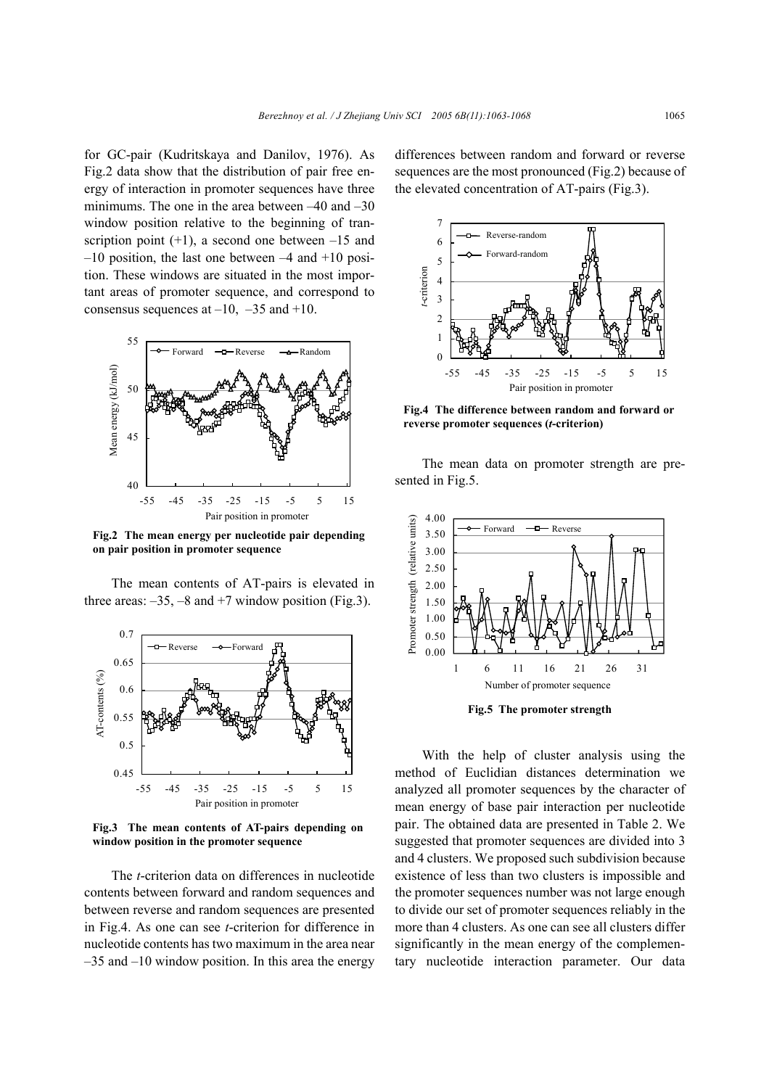for GC-pair (Kudritskaya and Danilov, 1976). As Fig.2 data show that the distribution of pair free energy of interaction in promoter sequences have three minimums. The one in the area between –40 and –30 window position relative to the beginning of transcription point  $(+1)$ , a second one between  $-15$  and  $-10$  position, the last one between  $-4$  and  $+10$  position. These windows are situated in the most important areas of promoter sequence, and correspond to consensus sequences at  $-10$ ,  $-35$  and  $+10$ .



**Fig.2 The mean energy per nucleotide pair depending on pair position in promoter sequence** 

The mean contents of AT-pairs is elevated in three areas:  $-35$ ,  $-8$  and  $+7$  window position (Fig.3).



**Fig.3 The mean contents of AT-pairs depending on window position in the promoter sequence** 

The *t*-criterion data on differences in nucleotide contents between forward and random sequences and between reverse and random sequences are presented in Fig.4. As one can see *t*-criterion for difference in nucleotide contents has two maximum in the area near  $-35$  and  $-10$  window position. In this area the energy

differences between random and forward or reverse sequences are the most pronounced (Fig.2) because of the elevated concentration of AT-pairs (Fig.3).



**Fig.4 The difference between random and forward or reverse promoter sequences (***t***-criterion)** 

The mean data on promoter strength are presented in Fig.5.



With the help of cluster analysis using the method of Euclidian distances determination we analyzed all promoter sequences by the character of mean energy of base pair interaction per nucleotide pair. The obtained data are presented in Table 2. We suggested that promoter sequences are divided into 3 and 4 clusters. We proposed such subdivision because existence of less than two clusters is impossible and the promoter sequences number was not large enough to divide our set of promoter sequences reliably in the more than 4 clusters. As one can see all clusters differ significantly in the mean energy of the complementary nucleotide interaction parameter. Our data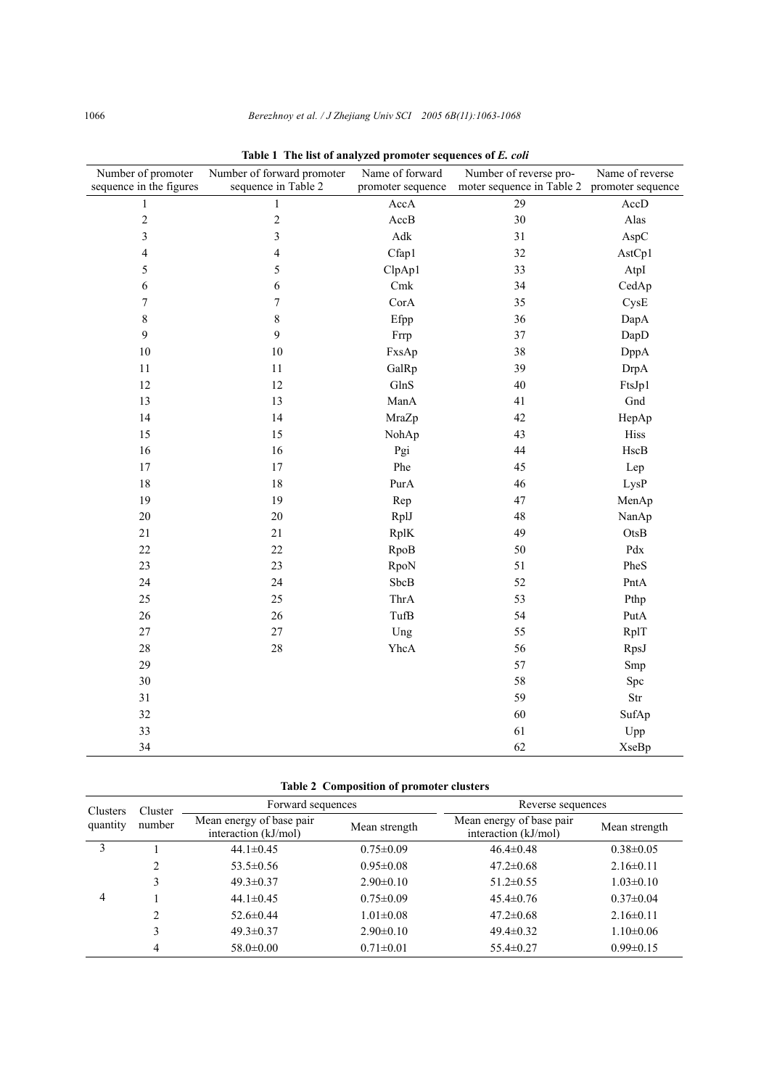| Number of promoter      | Number of forward promoter | Name of forward               | Number of reverse pro-    | Name of reverse         |
|-------------------------|----------------------------|-------------------------------|---------------------------|-------------------------|
| sequence in the figures | sequence in Table 2        | promoter sequence             | moter sequence in Table 2 | promoter sequence       |
| $\mathbf{1}$            | 1                          | $\mbox{{\sc AccA}}$           | 29                        | AccD                    |
| $\sqrt{2}$              | $\overline{c}$             | AccB                          | 30                        | Alas                    |
| $\mathfrak z$           | $\mathfrak{Z}$             | $\operatorname{\mathsf{Adk}}$ | 31                        | AspC                    |
| $\overline{4}$          | $\overline{\mathcal{L}}$   | Cfap1                         | 32                        | AstCp1                  |
| 5                       | 5                          | ClpAp1                        | 33                        | AtpI                    |
| 6                       | 6                          | Cmk                           | 34                        | CedAp                   |
| 7                       | $\boldsymbol{7}$           | CorA                          | 35                        | CysE                    |
| $\,$ $\,$               | $\,$ $\,$                  | Efpp                          | 36                        | DapA                    |
| $\mathbf{9}$            | 9                          | Frrp                          | 37                        | DapD                    |
| $10\,$                  | $10\,$                     | FxsAp                         | 38                        | DppA                    |
| $11\,$                  | 11                         | GalRp                         | 39                        | <b>DrpA</b>             |
| 12                      | 12                         | GlnS                          | 40                        | FtsJp1                  |
| 13                      | 13                         | ManA                          | 41                        | Gnd                     |
| 14                      | 14                         | MraZp                         | 42                        | HepAp                   |
| 15                      | 15                         | NohAp                         | 43                        | Hiss                    |
| 16                      | $16\,$                     | Pgi                           | 44                        | HscB                    |
| $17\,$                  | $17\,$                     | Phe                           | 45                        | Lep                     |
| $18\,$                  | $18\,$                     | PurA                          | 46                        | LysP                    |
| 19                      | 19                         | Rep                           | 47                        | MenAp                   |
| $20\,$                  | $20\,$                     | RplJ                          | 48                        | NanAp                   |
| 21                      | $21\,$                     | RplK                          | 49                        | OtsB                    |
| 22                      | 22                         | RpoB                          | 50                        | $\mathop{\mathrm{Pdx}}$ |
| 23                      | 23                         | RpoN                          | 51                        | PheS                    |
| 24                      | 24                         | SbcB                          | 52                        | PntA                    |
| 25                      | 25                         | ThrA                          | 53                        | Pthp                    |
| $26\,$                  | $26\,$                     | TufB                          | 54                        | PutA                    |
| $27\,$                  | 27                         | Ung                           | 55                        | RpIT                    |
| $28\,$                  | 28                         | YhcA                          | 56                        | RpsJ                    |
| 29                      |                            |                               | 57                        | Smp                     |
| $30\,$                  |                            |                               | 58                        | Spc                     |
| $31\,$                  |                            |                               | 59                        | $\rm Str$               |
| 32                      |                            |                               | 60                        | SufAp                   |
| 33                      |                            |                               | 61                        | Upp                     |
| 34                      |                            |                               | 62                        | XseBp                   |

**Table 1 The list of analyzed promoter sequences of** *E. coli* 

|  | <b>Table 2 Composition of promoter clusters</b> |
|--|-------------------------------------------------|
|--|-------------------------------------------------|

| Clusters<br>quantity | Cluster        | Forward sequences                                |                 | Reverse sequences                                |                 |
|----------------------|----------------|--------------------------------------------------|-----------------|--------------------------------------------------|-----------------|
|                      | number         | Mean energy of base pair<br>interaction (kJ/mol) | Mean strength   | Mean energy of base pair<br>interaction (kJ/mol) | Mean strength   |
|                      |                | $44.1 \pm 0.45$                                  | $0.75 \pm 0.09$ | $46.4 \pm 0.48$                                  | $0.38 \pm 0.05$ |
|                      | $\overline{c}$ | $53.5 \pm 0.56$                                  | $0.95 \pm 0.08$ | $47.2 \pm 0.68$                                  | $2.16\pm0.11$   |
|                      | 3              | $49.3 \pm 0.37$                                  | $2.90\pm0.10$   | $51.2 \pm 0.55$                                  | $1.03 \pm 0.10$ |
| 4                    |                | $44.1 \pm 0.45$                                  | $0.75 \pm 0.09$ | $45.4 \pm 0.76$                                  | $0.37\pm0.04$   |
|                      | 2              | $52.6 \pm 0.44$                                  | $1.01 \pm 0.08$ | $47.2 \pm 0.68$                                  | $2.16\pm0.11$   |
|                      |                | $49.3 \pm 0.37$                                  | $2.90\pm0.10$   | $49.4 \pm 0.32$                                  | $1.10 \pm 0.06$ |
|                      | $\overline{4}$ | $58.0 \pm 0.00$                                  | $0.71 \pm 0.01$ | $55.4 \pm 0.27$                                  | $0.99 \pm 0.15$ |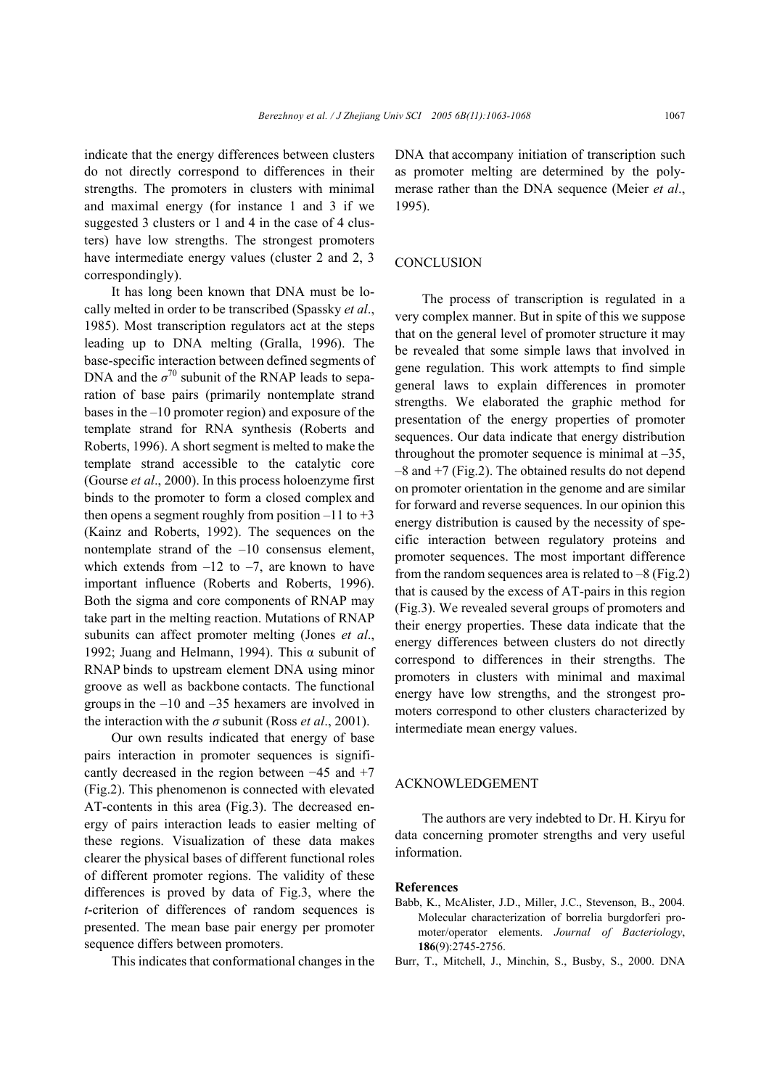indicate that the energy differences between clusters do not directly correspond to differences in their strengths. The promoters in clusters with minimal and maximal energy (for instance 1 and 3 if we suggested 3 clusters or 1 and 4 in the case of 4 clusters) have low strengths. The strongest promoters have intermediate energy values (cluster 2 and 2, 3 correspondingly).

It has long been known that DNA must be locally melted in order to be transcribed (Spassky *et al*., 1985). Most transcription regulators act at the steps leading up to DNA melting (Gralla, 1996). The base-specific interaction between defined segments of DNA and the  $\sigma^{70}$  subunit of the RNAP leads to separation of base pairs (primarily nontemplate strand bases in the –10 promoter region) and exposure of the template strand for RNA synthesis (Roberts and Roberts, 1996). A short segment is melted to make the template strand accessible to the catalytic core (Gourse *et al*., 2000). In this process holoenzyme first binds to the promoter to form a closed complex and then opens a segment roughly from position  $-11$  to  $+3$ (Kainz and Roberts, 1992). The sequences on the nontemplate strand of the –10 consensus element, which extends from  $-12$  to  $-7$ , are known to have important influence (Roberts and Roberts, 1996). Both the sigma and core components of RNAP may take part in the melting reaction. Mutations of RNAP subunits can affect promoter melting (Jones *et al*., 1992; Juang and Helmann, 1994). This  $\alpha$  subunit of RNAP binds to upstream element DNA using minor groove as well as backbone contacts. The functional groups in the –10 and –35 hexamers are involved in the interaction with the  $\sigma$  subunit (Ross *et al.*, 2001).

Our own results indicated that energy of base pairs interaction in promoter sequences is significantly decreased in the region between −45 and +7 (Fig.2). This phenomenon is connected with elevated AT-contents in this area (Fig.3). The decreased energy of pairs interaction leads to easier melting of these regions. Visualization of these data makes clearer the physical bases of different functional roles of different promoter regions. The validity of these differences is proved by data of Fig.3, where the *t*-criterion of differences of random sequences is presented. The mean base pair energy per promoter sequence differs between promoters.

This indicates that conformational changes in the

DNA that accompany initiation of transcription such as promoter melting are determined by the polymerase rather than the DNA sequence (Meier *et al*., 1995).

## **CONCLUSION**

The process of transcription is regulated in a very complex manner. But in spite of this we suppose that on the general level of promoter structure it may be revealed that some simple laws that involved in gene regulation. This work attempts to find simple general laws to explain differences in promoter strengths. We elaborated the graphic method for presentation of the energy properties of promoter sequences. Our data indicate that energy distribution throughout the promoter sequence is minimal at  $-35$ ,  $-8$  and  $+7$  (Fig.2). The obtained results do not depend on promoter orientation in the genome and are similar for forward and reverse sequences. In our opinion this energy distribution is caused by the necessity of specific interaction between regulatory proteins and promoter sequences. The most important difference from the random sequences area is related to  $-8$  (Fig.2) that is caused by the excess of AT-pairs in this region (Fig.3). We revealed several groups of promoters and their energy properties. These data indicate that the energy differences between clusters do not directly correspond to differences in their strengths. The promoters in clusters with minimal and maximal energy have low strengths, and the strongest promoters correspond to other clusters characterized by intermediate mean energy values.

# ACKNOWLEDGEMENT

The authors are very indebted to Dr. H. Kiryu for data concerning promoter strengths and very useful information.

#### **References**

- Babb, K., McAlister, J.D., Miller, J.C., Stevenson, B., 2004. Molecular characterization of borrelia burgdorferi promoter/operator elements. *Journal of Bacteriology*, **186**(9):2745-2756.
- Burr, T., Mitchell, J., Minchin, S., Busby, S., 2000. DNA